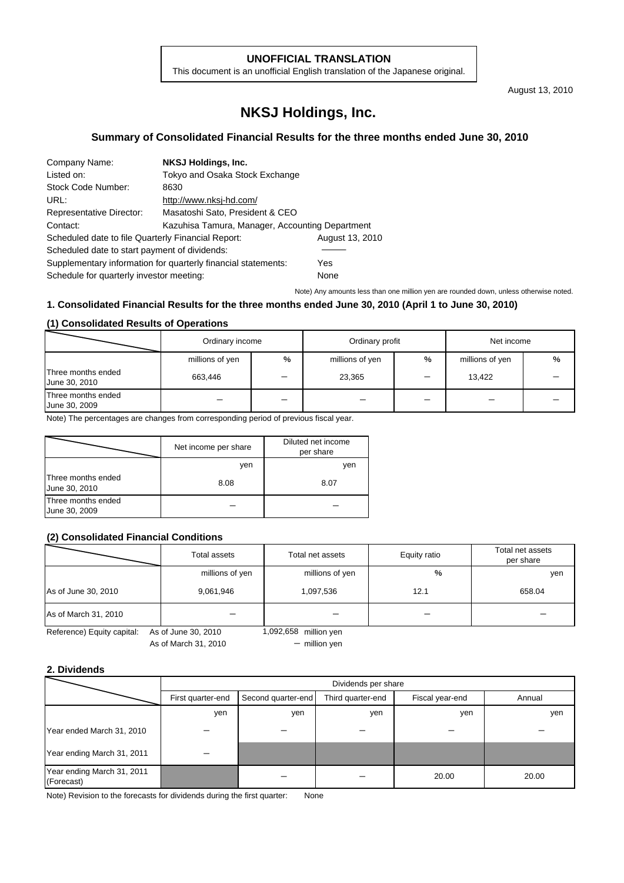### **UNOFFICIAL TRANSLATION**

This document is an unofficial English translation of the Japanese original.

August 13, 2010

# **NKSJ Holdings, Inc.**

## **Summary of Consolidated Financial Results for the three months ended June 30, 2010**

| Company Name:                                      | <b>NKSJ Holdings, Inc.</b>                                    |                 |  |  |
|----------------------------------------------------|---------------------------------------------------------------|-----------------|--|--|
| Listed on:                                         | Tokyo and Osaka Stock Exchange                                |                 |  |  |
| Stock Code Number:                                 | 8630                                                          |                 |  |  |
| URL:                                               | http://www.nksj-hd.com/                                       |                 |  |  |
| <b>Representative Director:</b>                    | Masatoshi Sato, President & CEO                               |                 |  |  |
| Contact:                                           | Kazuhisa Tamura, Manager, Accounting Department               |                 |  |  |
| Scheduled date to file Quarterly Financial Report: |                                                               | August 13, 2010 |  |  |
| Scheduled date to start payment of dividends:      |                                                               |                 |  |  |
|                                                    | Supplementary information for quarterly financial statements: | Yes             |  |  |
| Schedule for quarterly investor meeting:           |                                                               | None            |  |  |

Note) Any amounts less than one million yen are rounded down, unless otherwise noted.

## **1. Consolidated Financial Results for the three months ended June 30, 2010 (April 1 to June 30, 2010)**

#### **(1) Consolidated Results of Operations**

|                                     | Ordinary income |   | Ordinary profit |   | Net income      |   |
|-------------------------------------|-----------------|---|-----------------|---|-----------------|---|
|                                     | millions of yen | % | millions of yen | % | millions of yen | % |
| Three months ended<br>June 30, 2010 | 663,446         |   | 23,365          |   | 13,422          |   |
| Three months ended<br>June 30, 2009 |                 |   |                 |   |                 |   |

Note) The percentages are changes from corresponding period of previous fiscal year.

|                                     | Net income per share | Diluted net income<br>per share |
|-------------------------------------|----------------------|---------------------------------|
|                                     | ven                  | yen                             |
| Three months ended<br>June 30, 2010 | 8.08                 | 8.07                            |
| Three months ended<br>June 30, 2009 |                      |                                 |

## **(2) Consolidated Financial Conditions**

|                                                                            | Total assets    | Total net assets | Equity ratio | Total net assets<br>per share |
|----------------------------------------------------------------------------|-----------------|------------------|--------------|-------------------------------|
|                                                                            | millions of yen | millions of yen  | %            | yen                           |
| As of June 30, 2010                                                        | 9,061,946       | 1,097,536        | 12.1         | 658.04                        |
| As of March 31, 2010                                                       |                 |                  |              |                               |
| Reference) Equity capital:<br>1,092,658 million yen<br>As of June 30, 2010 |                 |                  |              |                               |

As of March 31, 2010

 $-$  million yen

## **2. Dividends**

|                                          |                   | Dividends per share                                                  |     |       |       |  |  |
|------------------------------------------|-------------------|----------------------------------------------------------------------|-----|-------|-------|--|--|
|                                          | First quarter-end | Third quarter-end<br>Fiscal year-end<br>Annual<br>Second quarter-end |     |       |       |  |  |
|                                          | yen               | yen                                                                  | yen | yen   | yen   |  |  |
| Year ended March 31, 2010                |                   |                                                                      |     |       |       |  |  |
| Year ending March 31, 2011               |                   |                                                                      |     |       |       |  |  |
| Year ending March 31, 2011<br>(Forecast) |                   |                                                                      |     | 20.00 | 20.00 |  |  |

Note) Revision to the forecasts for dividends during the first quarter: None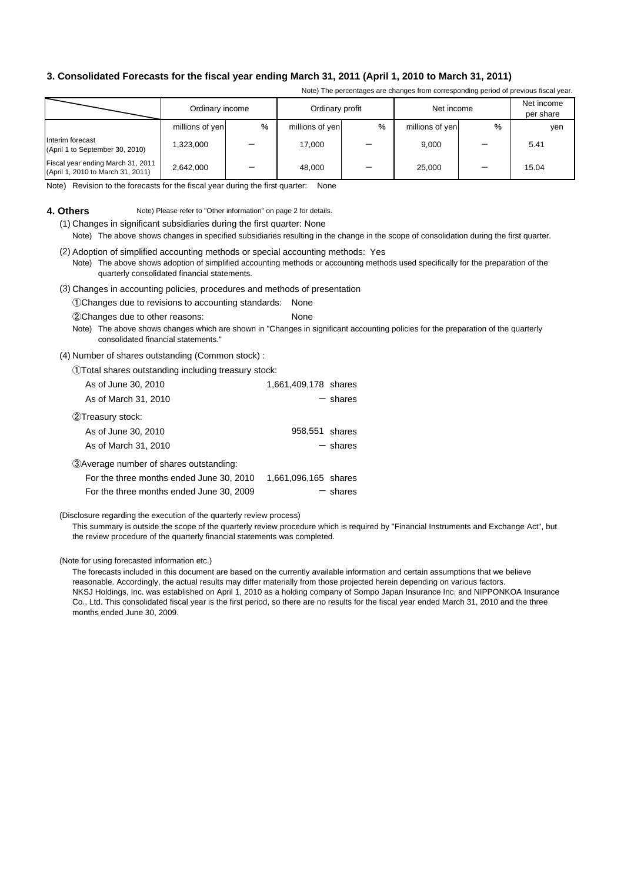## **3. Consolidated Forecasts for the fiscal year ending March 31, 2011 (April 1, 2010 to March 31, 2011)**

Note) The percentages are changes from corresponding period of previous fiscal year.

|                                                                        | Ordinary income | Ordinary profit |                 | Net income |                 | Net income<br>per share |       |
|------------------------------------------------------------------------|-----------------|-----------------|-----------------|------------|-----------------|-------------------------|-------|
|                                                                        | millions of yen | $\%$            | millions of yen | %          | millions of yen | %                       | yen   |
| Interim forecast<br>(April 1 to September 30, 2010)                    | 1.323.000       |                 | 17.000          |            | 9.000           |                         | 5.41  |
| Fiscal year ending March 31, 2011<br>(April 1, 2010 to March 31, 2011) | 2,642,000       |                 | 48.000          |            | 25,000          |                         | 15.04 |

Note) Revision to the forecasts for the fiscal year during the first quarter: None

#### **4. Others** Note) Please refer to "Other information" on page 2 for details.

(1) Changes in significant subsidiaries during the first quarter: None Note) The above shows changes in specified subsidiaries resulting in the change in the scope of consolidation during the first quarter.

(2) Adoption of simplified accounting methods or special accounting methods: Yes Note) The above shows adoption of simplified accounting methods or accounting methods used specifically for the preparation of the quarterly consolidated financial statements.

(3) Changes in accounting policies, procedures and methods of presentation

①Changes due to revisions to accounting standards: None

②Changes due to other reasons: None

Note) The above shows changes which are shown in "Changes in significant accounting policies for the preparation of the quarterly consolidated financial statements."

#### (4) Number of shares outstanding (Common stock) :

①Total shares outstanding including treasury stock:

| As of June 30, 2010                      | 1,661,409,178 shares |
|------------------------------------------|----------------------|
| As of March 31, 2010                     | $-$ shares           |
| (2) Treasury stock:                      |                      |
| As of June 30, 2010                      | 958,551 shares       |
| As of March 31, 2010                     | $-$ shares           |
| 3) Average number of shares outstanding: |                      |
| For the three months ended June 30, 2010 | 1,661,096,165 shares |
| For the three months ended June 30, 2009 | $-$ shares           |

(Disclosure regarding the execution of the quarterly review process)

This summary is outside the scope of the quarterly review procedure which is required by "Financial Instruments and Exchange Act", but the review procedure of the quarterly financial statements was completed.

(Note for using forecasted information etc.)

NKSJ Holdings, Inc. was established on April 1, 2010 as a holding company of Sompo Japan Insurance Inc. and NIPPONKOA Insurance Co., Ltd. This consolidated fiscal year is the first period, so there are no results for the fiscal year ended March 31, 2010 and the three months ended June 30, 2009. The forecasts included in this document are based on the currently available information and certain assumptions that we believe reasonable. Accordingly, the actual results may differ materially from those projected herein depending on various factors.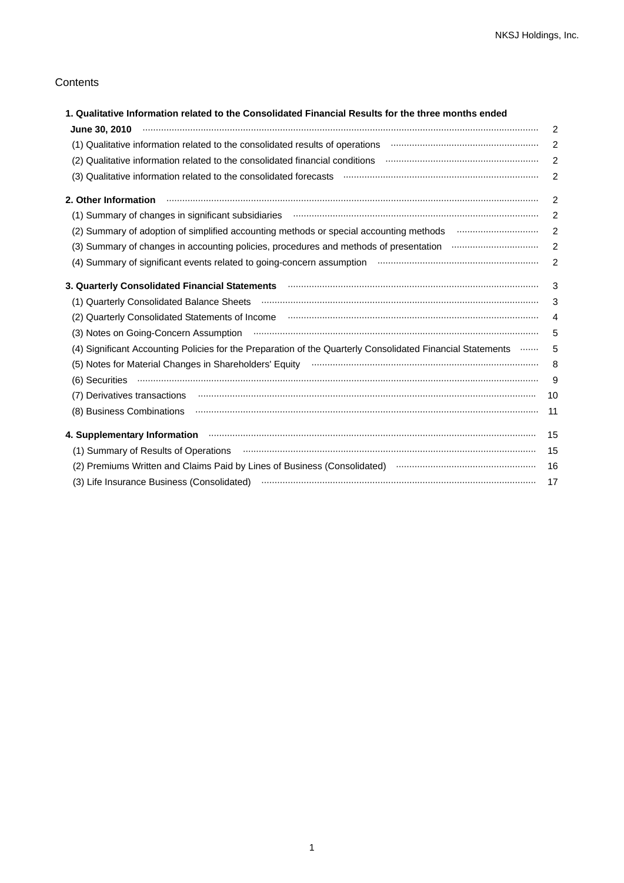## **Contents**

| 1. Qualitative Information related to the Consolidated Financial Results for the three months ended                                                                                                                                                                                                                                                                                                                                                                                                          |                |
|--------------------------------------------------------------------------------------------------------------------------------------------------------------------------------------------------------------------------------------------------------------------------------------------------------------------------------------------------------------------------------------------------------------------------------------------------------------------------------------------------------------|----------------|
|                                                                                                                                                                                                                                                                                                                                                                                                                                                                                                              | $\overline{2}$ |
| (1) Qualitative information related to the consolidated results of operations <b>manufacture information</b> related to                                                                                                                                                                                                                                                                                                                                                                                      | $\overline{2}$ |
| (2) Qualitative information related to the consolidated financial conditions manufacture information meta-                                                                                                                                                                                                                                                                                                                                                                                                   | 2              |
|                                                                                                                                                                                                                                                                                                                                                                                                                                                                                                              | $\overline{2}$ |
| $\begin{minipage}{0.9\linewidth} \begin{tabular}{l} \hline \textbf{0.01} \end{tabular} \end{minipage} \begin{tabular}{l} \hline \textbf{1.01} \end{tabular} \end{minipage} \begin{tabular}{l} \hline \textbf{1.01} \end{tabular} \end{minipage} \begin{tabular}{l} \hline \textbf{2.01} \end{tabular} \end{minipage} \begin{tabular}{l} \hline \textbf{3.01} \end{tabular} \end{minipage} \begin{tabular}{l} \hline \textbf{4.01} \end{tabular} \end{minipage} \begin{tabular}{l} \$<br>2. Other Information | 2              |
| (1) Summary of changes in significant subsidiaries <b>construction contains the contract of changes</b> in significant subsidiaries                                                                                                                                                                                                                                                                                                                                                                          | $\overline{2}$ |
| (2) Summary of adoption of simplified accounting methods or special accounting methods manufactured and the summary of adoption of simplified accounting methods manufactured and the summary of adoption of $(2)$                                                                                                                                                                                                                                                                                           | $\overline{2}$ |
|                                                                                                                                                                                                                                                                                                                                                                                                                                                                                                              | 2              |
| (4) Summary of significant events related to going-concern assumption manufactured contains an anti-                                                                                                                                                                                                                                                                                                                                                                                                         | 2              |
| 3. Quarterly Consolidated Financial Statements <b>Matemany Statements</b> 13. Quarterly Consolidated Financial Statements                                                                                                                                                                                                                                                                                                                                                                                    | 3              |
| (1) Quarterly Consolidated Balance Sheets (1) Martin Martin Martin Martin Martin Martin Martin Martin Martin M                                                                                                                                                                                                                                                                                                                                                                                               | 3              |
|                                                                                                                                                                                                                                                                                                                                                                                                                                                                                                              | $\overline{4}$ |
|                                                                                                                                                                                                                                                                                                                                                                                                                                                                                                              | 5              |
| (4) Significant Accounting Policies for the Preparation of the Quarterly Consolidated Financial Statements                                                                                                                                                                                                                                                                                                                                                                                                   | 5              |
|                                                                                                                                                                                                                                                                                                                                                                                                                                                                                                              | 8              |
| $(6)$ Securities $\cdots$ $\cdots$ $\cdots$ $\cdots$ $\cdots$ $\cdots$ $\cdots$ $\cdots$ $\cdots$ $\cdots$ $\cdots$ $\cdots$ $\cdots$ $\cdots$ $\cdots$ $\cdots$ $\cdots$ $\cdots$ $\cdots$ $\cdots$ $\cdots$ $\cdots$ $\cdots$ $\cdots$ $\cdots$ $\cdots$ $\cdots$ $\cdots$ $\cdots$ $\cdots$ $\cdots$ $\cdots$ $\cdots$ $\cdots$                                                                                                                                                                           | 9              |
|                                                                                                                                                                                                                                                                                                                                                                                                                                                                                                              | 10             |
| (8) Business Combinations (1) and the communication of the company of the communication of the combinations (3) Business Combinations (3) Business Combinations (3) Business Combinations (3) Business Combinations (3) Busine                                                                                                                                                                                                                                                                               | -11            |
| 4. Supplementary Information manufactured and anti-                                                                                                                                                                                                                                                                                                                                                                                                                                                          | 15             |
|                                                                                                                                                                                                                                                                                                                                                                                                                                                                                                              | 15             |
| (2) Premiums Written and Claims Paid by Lines of Business (Consolidated) municially contain an anti-                                                                                                                                                                                                                                                                                                                                                                                                         | 16             |
|                                                                                                                                                                                                                                                                                                                                                                                                                                                                                                              | 17             |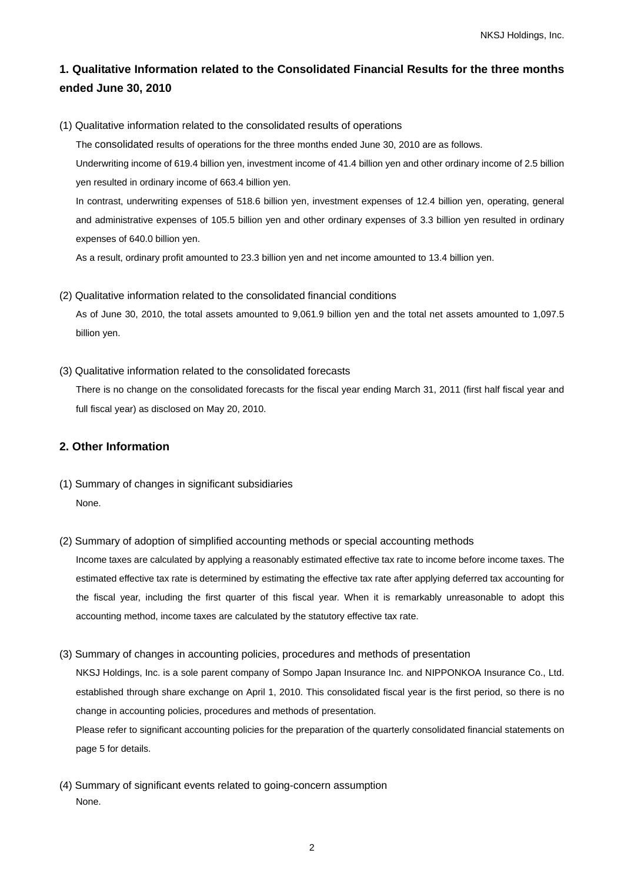# **1. Qualitative Information related to the Consolidated Financial Results for the three months ended June 30, 2010**

(1) Qualitative information related to the consolidated results of operations

The consolidated results of operations for the three months ended June 30, 2010 are as follows.

Underwriting income of 619.4 billion yen, investment income of 41.4 billion yen and other ordinary income of 2.5 billion yen resulted in ordinary income of 663.4 billion yen.

In contrast, underwriting expenses of 518.6 billion yen, investment expenses of 12.4 billion yen, operating, general and administrative expenses of 105.5 billion yen and other ordinary expenses of 3.3 billion yen resulted in ordinary expenses of 640.0 billion yen.

As a result, ordinary profit amounted to 23.3 billion yen and net income amounted to 13.4 billion yen.

(2) Qualitative information related to the consolidated financial conditions

As of June 30, 2010, the total assets amounted to 9,061.9 billion yen and the total net assets amounted to 1,097.5 billion yen.

(3) Qualitative information related to the consolidated forecasts

There is no change on the consolidated forecasts for the fiscal year ending March 31, 2011 (first half fiscal year and full fiscal year) as disclosed on May 20, 2010.

## **2. Other Information**

- (1) Summary of changes in significant subsidiaries None.
- (2) Summary of adoption of simplified accounting methods or special accounting methods

Income taxes are calculated by applying a reasonably estimated effective tax rate to income before income taxes. The estimated effective tax rate is determined by estimating the effective tax rate after applying deferred tax accounting for the fiscal year, including the first quarter of this fiscal year. When it is remarkably unreasonable to adopt this accounting method, income taxes are calculated by the statutory effective tax rate.

(3) Summary of changes in accounting policies, procedures and methods of presentation

NKSJ Holdings, Inc. is a sole parent company of Sompo Japan Insurance Inc. and NIPPONKOA Insurance Co., Ltd. established through share exchange on April 1, 2010. This consolidated fiscal year is the first period, so there is no change in accounting policies, procedures and methods of presentation.

Please refer to significant accounting policies for the preparation of the quarterly consolidated financial statements on page 5 for details.

(4) Summary of significant events related to going-concern assumption None.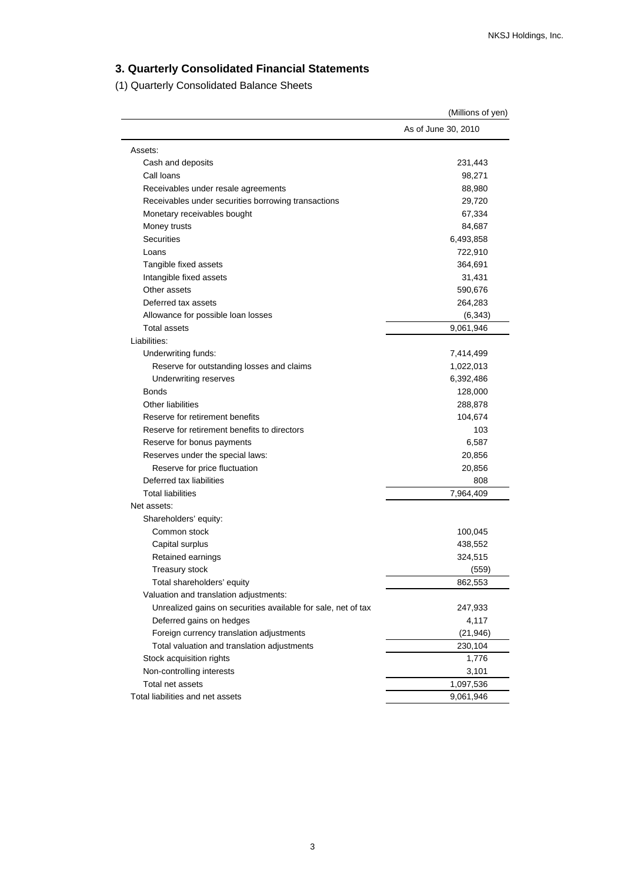# **3. Quarterly Consolidated Financial Statements**

(1) Quarterly Consolidated Balance Sheets

|                                                               | (Millions of yen)   |
|---------------------------------------------------------------|---------------------|
|                                                               | As of June 30, 2010 |
| Assets:                                                       |                     |
| Cash and deposits                                             | 231,443             |
| Call loans                                                    | 98,271              |
| Receivables under resale agreements                           | 88,980              |
| Receivables under securities borrowing transactions           | 29,720              |
| Monetary receivables bought                                   | 67,334              |
| Money trusts                                                  | 84,687              |
| <b>Securities</b>                                             | 6,493,858           |
| Loans                                                         | 722,910             |
| Tangible fixed assets                                         | 364,691             |
| Intangible fixed assets                                       | 31,431              |
| Other assets                                                  | 590,676             |
| Deferred tax assets                                           | 264,283             |
| Allowance for possible loan losses                            | (6, 343)            |
| <b>Total assets</b>                                           | 9,061,946           |
| Liabilities:                                                  |                     |
| Underwriting funds:                                           | 7,414,499           |
| Reserve for outstanding losses and claims                     | 1,022,013           |
| <b>Underwriting reserves</b>                                  | 6,392,486           |
| <b>Bonds</b>                                                  | 128,000             |
| <b>Other liabilities</b>                                      | 288,878             |
| Reserve for retirement benefits                               | 104,674             |
| Reserve for retirement benefits to directors                  | 103                 |
| Reserve for bonus payments                                    | 6,587               |
| Reserves under the special laws:                              | 20,856              |
| Reserve for price fluctuation                                 | 20,856              |
| Deferred tax liabilities                                      | 808                 |
| <b>Total liabilities</b>                                      | 7,964,409           |
| Net assets:                                                   |                     |
| Shareholders' equity:                                         |                     |
| Common stock                                                  | 100,045             |
| Capital surplus                                               | 438,552             |
| Retained earnings                                             | 324,515             |
| Treasury stock                                                | (559)               |
| Total shareholders' equity                                    | 862,553             |
| Valuation and translation adjustments:                        |                     |
| Unrealized gains on securities available for sale, net of tax | 247,933             |
| Deferred gains on hedges                                      | 4,117               |
| Foreign currency translation adjustments                      | (21, 946)           |
| Total valuation and translation adjustments                   | 230,104             |
| Stock acquisition rights                                      | 1,776               |
| Non-controlling interests                                     | 3,101               |
| Total net assets                                              | 1,097,536           |
| Total liabilities and net assets                              | 9,061,946           |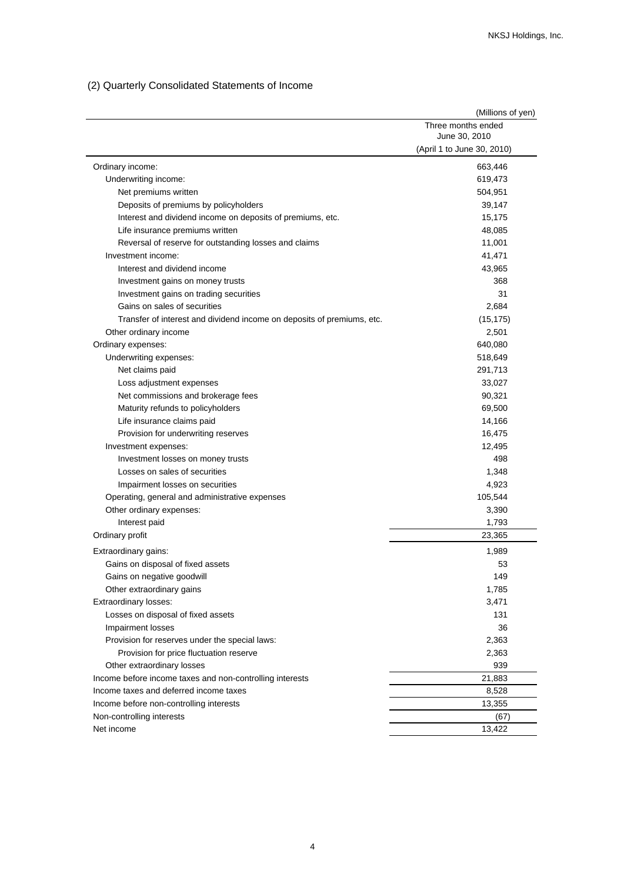# (2) Quarterly Consolidated Statements of Income

| Three months ended<br>June 30, 2010<br>(April 1 to June 30, 2010)<br>663,446<br>Ordinary income:<br>619,473<br>Underwriting income:<br>Net premiums written<br>504,951<br>Deposits of premiums by policyholders<br>39,147<br>Interest and dividend income on deposits of premiums, etc.<br>15,175<br>Life insurance premiums written<br>48,085<br>Reversal of reserve for outstanding losses and claims<br>11,001<br>Investment income:<br>41,471<br>Interest and dividend income<br>43,965<br>368<br>Investment gains on money trusts<br>Investment gains on trading securities<br>31<br>Gains on sales of securities<br>2,684<br>Transfer of interest and dividend income on deposits of premiums, etc.<br>(15, 175)<br>2,501<br>Other ordinary income<br>640,080<br>Ordinary expenses:<br>Underwriting expenses:<br>518,649<br>Net claims paid<br>291,713<br>Loss adjustment expenses<br>33,027<br>Net commissions and brokerage fees<br>90,321<br>Maturity refunds to policyholders<br>69,500<br>Life insurance claims paid<br>14,166<br>Provision for underwriting reserves<br>16,475<br>Investment expenses:<br>12,495<br>498<br>Investment losses on money trusts<br>Losses on sales of securities<br>1,348<br>4,923<br>Impairment losses on securities<br>Operating, general and administrative expenses<br>105,544<br>Other ordinary expenses:<br>3,390<br>1,793<br>Interest paid<br>Ordinary profit<br>23,365<br>Extraordinary gains:<br>1,989<br>Gains on disposal of fixed assets<br>53<br>149<br>Gains on negative goodwill<br>Other extraordinary gains<br>1,785<br>Extraordinary losses:<br>3,471<br>Losses on disposal of fixed assets<br>131<br>36<br>Impairment losses<br>Provision for reserves under the special laws:<br>2,363<br>Provision for price fluctuation reserve<br>2,363<br>939<br>Other extraordinary losses<br>Income before income taxes and non-controlling interests<br>21,883<br>Income taxes and deferred income taxes<br>8,528<br>Income before non-controlling interests<br>13,355<br>Non-controlling interests<br>(67) |            | (Millions of yen) |
|-----------------------------------------------------------------------------------------------------------------------------------------------------------------------------------------------------------------------------------------------------------------------------------------------------------------------------------------------------------------------------------------------------------------------------------------------------------------------------------------------------------------------------------------------------------------------------------------------------------------------------------------------------------------------------------------------------------------------------------------------------------------------------------------------------------------------------------------------------------------------------------------------------------------------------------------------------------------------------------------------------------------------------------------------------------------------------------------------------------------------------------------------------------------------------------------------------------------------------------------------------------------------------------------------------------------------------------------------------------------------------------------------------------------------------------------------------------------------------------------------------------------------------------------------------------------------------------------------------------------------------------------------------------------------------------------------------------------------------------------------------------------------------------------------------------------------------------------------------------------------------------------------------------------------------------------------------------------------------------------------------------------------------------------------------------------|------------|-------------------|
|                                                                                                                                                                                                                                                                                                                                                                                                                                                                                                                                                                                                                                                                                                                                                                                                                                                                                                                                                                                                                                                                                                                                                                                                                                                                                                                                                                                                                                                                                                                                                                                                                                                                                                                                                                                                                                                                                                                                                                                                                                                                 |            |                   |
|                                                                                                                                                                                                                                                                                                                                                                                                                                                                                                                                                                                                                                                                                                                                                                                                                                                                                                                                                                                                                                                                                                                                                                                                                                                                                                                                                                                                                                                                                                                                                                                                                                                                                                                                                                                                                                                                                                                                                                                                                                                                 |            |                   |
|                                                                                                                                                                                                                                                                                                                                                                                                                                                                                                                                                                                                                                                                                                                                                                                                                                                                                                                                                                                                                                                                                                                                                                                                                                                                                                                                                                                                                                                                                                                                                                                                                                                                                                                                                                                                                                                                                                                                                                                                                                                                 |            |                   |
|                                                                                                                                                                                                                                                                                                                                                                                                                                                                                                                                                                                                                                                                                                                                                                                                                                                                                                                                                                                                                                                                                                                                                                                                                                                                                                                                                                                                                                                                                                                                                                                                                                                                                                                                                                                                                                                                                                                                                                                                                                                                 |            |                   |
|                                                                                                                                                                                                                                                                                                                                                                                                                                                                                                                                                                                                                                                                                                                                                                                                                                                                                                                                                                                                                                                                                                                                                                                                                                                                                                                                                                                                                                                                                                                                                                                                                                                                                                                                                                                                                                                                                                                                                                                                                                                                 |            |                   |
|                                                                                                                                                                                                                                                                                                                                                                                                                                                                                                                                                                                                                                                                                                                                                                                                                                                                                                                                                                                                                                                                                                                                                                                                                                                                                                                                                                                                                                                                                                                                                                                                                                                                                                                                                                                                                                                                                                                                                                                                                                                                 |            |                   |
|                                                                                                                                                                                                                                                                                                                                                                                                                                                                                                                                                                                                                                                                                                                                                                                                                                                                                                                                                                                                                                                                                                                                                                                                                                                                                                                                                                                                                                                                                                                                                                                                                                                                                                                                                                                                                                                                                                                                                                                                                                                                 |            |                   |
|                                                                                                                                                                                                                                                                                                                                                                                                                                                                                                                                                                                                                                                                                                                                                                                                                                                                                                                                                                                                                                                                                                                                                                                                                                                                                                                                                                                                                                                                                                                                                                                                                                                                                                                                                                                                                                                                                                                                                                                                                                                                 |            |                   |
|                                                                                                                                                                                                                                                                                                                                                                                                                                                                                                                                                                                                                                                                                                                                                                                                                                                                                                                                                                                                                                                                                                                                                                                                                                                                                                                                                                                                                                                                                                                                                                                                                                                                                                                                                                                                                                                                                                                                                                                                                                                                 |            |                   |
|                                                                                                                                                                                                                                                                                                                                                                                                                                                                                                                                                                                                                                                                                                                                                                                                                                                                                                                                                                                                                                                                                                                                                                                                                                                                                                                                                                                                                                                                                                                                                                                                                                                                                                                                                                                                                                                                                                                                                                                                                                                                 |            |                   |
|                                                                                                                                                                                                                                                                                                                                                                                                                                                                                                                                                                                                                                                                                                                                                                                                                                                                                                                                                                                                                                                                                                                                                                                                                                                                                                                                                                                                                                                                                                                                                                                                                                                                                                                                                                                                                                                                                                                                                                                                                                                                 |            |                   |
|                                                                                                                                                                                                                                                                                                                                                                                                                                                                                                                                                                                                                                                                                                                                                                                                                                                                                                                                                                                                                                                                                                                                                                                                                                                                                                                                                                                                                                                                                                                                                                                                                                                                                                                                                                                                                                                                                                                                                                                                                                                                 |            |                   |
|                                                                                                                                                                                                                                                                                                                                                                                                                                                                                                                                                                                                                                                                                                                                                                                                                                                                                                                                                                                                                                                                                                                                                                                                                                                                                                                                                                                                                                                                                                                                                                                                                                                                                                                                                                                                                                                                                                                                                                                                                                                                 |            |                   |
|                                                                                                                                                                                                                                                                                                                                                                                                                                                                                                                                                                                                                                                                                                                                                                                                                                                                                                                                                                                                                                                                                                                                                                                                                                                                                                                                                                                                                                                                                                                                                                                                                                                                                                                                                                                                                                                                                                                                                                                                                                                                 |            |                   |
|                                                                                                                                                                                                                                                                                                                                                                                                                                                                                                                                                                                                                                                                                                                                                                                                                                                                                                                                                                                                                                                                                                                                                                                                                                                                                                                                                                                                                                                                                                                                                                                                                                                                                                                                                                                                                                                                                                                                                                                                                                                                 |            |                   |
|                                                                                                                                                                                                                                                                                                                                                                                                                                                                                                                                                                                                                                                                                                                                                                                                                                                                                                                                                                                                                                                                                                                                                                                                                                                                                                                                                                                                                                                                                                                                                                                                                                                                                                                                                                                                                                                                                                                                                                                                                                                                 |            |                   |
|                                                                                                                                                                                                                                                                                                                                                                                                                                                                                                                                                                                                                                                                                                                                                                                                                                                                                                                                                                                                                                                                                                                                                                                                                                                                                                                                                                                                                                                                                                                                                                                                                                                                                                                                                                                                                                                                                                                                                                                                                                                                 |            |                   |
|                                                                                                                                                                                                                                                                                                                                                                                                                                                                                                                                                                                                                                                                                                                                                                                                                                                                                                                                                                                                                                                                                                                                                                                                                                                                                                                                                                                                                                                                                                                                                                                                                                                                                                                                                                                                                                                                                                                                                                                                                                                                 |            |                   |
|                                                                                                                                                                                                                                                                                                                                                                                                                                                                                                                                                                                                                                                                                                                                                                                                                                                                                                                                                                                                                                                                                                                                                                                                                                                                                                                                                                                                                                                                                                                                                                                                                                                                                                                                                                                                                                                                                                                                                                                                                                                                 |            |                   |
|                                                                                                                                                                                                                                                                                                                                                                                                                                                                                                                                                                                                                                                                                                                                                                                                                                                                                                                                                                                                                                                                                                                                                                                                                                                                                                                                                                                                                                                                                                                                                                                                                                                                                                                                                                                                                                                                                                                                                                                                                                                                 |            |                   |
|                                                                                                                                                                                                                                                                                                                                                                                                                                                                                                                                                                                                                                                                                                                                                                                                                                                                                                                                                                                                                                                                                                                                                                                                                                                                                                                                                                                                                                                                                                                                                                                                                                                                                                                                                                                                                                                                                                                                                                                                                                                                 |            |                   |
|                                                                                                                                                                                                                                                                                                                                                                                                                                                                                                                                                                                                                                                                                                                                                                                                                                                                                                                                                                                                                                                                                                                                                                                                                                                                                                                                                                                                                                                                                                                                                                                                                                                                                                                                                                                                                                                                                                                                                                                                                                                                 |            |                   |
|                                                                                                                                                                                                                                                                                                                                                                                                                                                                                                                                                                                                                                                                                                                                                                                                                                                                                                                                                                                                                                                                                                                                                                                                                                                                                                                                                                                                                                                                                                                                                                                                                                                                                                                                                                                                                                                                                                                                                                                                                                                                 |            |                   |
|                                                                                                                                                                                                                                                                                                                                                                                                                                                                                                                                                                                                                                                                                                                                                                                                                                                                                                                                                                                                                                                                                                                                                                                                                                                                                                                                                                                                                                                                                                                                                                                                                                                                                                                                                                                                                                                                                                                                                                                                                                                                 |            |                   |
|                                                                                                                                                                                                                                                                                                                                                                                                                                                                                                                                                                                                                                                                                                                                                                                                                                                                                                                                                                                                                                                                                                                                                                                                                                                                                                                                                                                                                                                                                                                                                                                                                                                                                                                                                                                                                                                                                                                                                                                                                                                                 |            |                   |
|                                                                                                                                                                                                                                                                                                                                                                                                                                                                                                                                                                                                                                                                                                                                                                                                                                                                                                                                                                                                                                                                                                                                                                                                                                                                                                                                                                                                                                                                                                                                                                                                                                                                                                                                                                                                                                                                                                                                                                                                                                                                 |            |                   |
|                                                                                                                                                                                                                                                                                                                                                                                                                                                                                                                                                                                                                                                                                                                                                                                                                                                                                                                                                                                                                                                                                                                                                                                                                                                                                                                                                                                                                                                                                                                                                                                                                                                                                                                                                                                                                                                                                                                                                                                                                                                                 |            |                   |
|                                                                                                                                                                                                                                                                                                                                                                                                                                                                                                                                                                                                                                                                                                                                                                                                                                                                                                                                                                                                                                                                                                                                                                                                                                                                                                                                                                                                                                                                                                                                                                                                                                                                                                                                                                                                                                                                                                                                                                                                                                                                 |            |                   |
|                                                                                                                                                                                                                                                                                                                                                                                                                                                                                                                                                                                                                                                                                                                                                                                                                                                                                                                                                                                                                                                                                                                                                                                                                                                                                                                                                                                                                                                                                                                                                                                                                                                                                                                                                                                                                                                                                                                                                                                                                                                                 |            |                   |
|                                                                                                                                                                                                                                                                                                                                                                                                                                                                                                                                                                                                                                                                                                                                                                                                                                                                                                                                                                                                                                                                                                                                                                                                                                                                                                                                                                                                                                                                                                                                                                                                                                                                                                                                                                                                                                                                                                                                                                                                                                                                 |            |                   |
|                                                                                                                                                                                                                                                                                                                                                                                                                                                                                                                                                                                                                                                                                                                                                                                                                                                                                                                                                                                                                                                                                                                                                                                                                                                                                                                                                                                                                                                                                                                                                                                                                                                                                                                                                                                                                                                                                                                                                                                                                                                                 |            |                   |
|                                                                                                                                                                                                                                                                                                                                                                                                                                                                                                                                                                                                                                                                                                                                                                                                                                                                                                                                                                                                                                                                                                                                                                                                                                                                                                                                                                                                                                                                                                                                                                                                                                                                                                                                                                                                                                                                                                                                                                                                                                                                 |            |                   |
|                                                                                                                                                                                                                                                                                                                                                                                                                                                                                                                                                                                                                                                                                                                                                                                                                                                                                                                                                                                                                                                                                                                                                                                                                                                                                                                                                                                                                                                                                                                                                                                                                                                                                                                                                                                                                                                                                                                                                                                                                                                                 |            |                   |
|                                                                                                                                                                                                                                                                                                                                                                                                                                                                                                                                                                                                                                                                                                                                                                                                                                                                                                                                                                                                                                                                                                                                                                                                                                                                                                                                                                                                                                                                                                                                                                                                                                                                                                                                                                                                                                                                                                                                                                                                                                                                 |            |                   |
|                                                                                                                                                                                                                                                                                                                                                                                                                                                                                                                                                                                                                                                                                                                                                                                                                                                                                                                                                                                                                                                                                                                                                                                                                                                                                                                                                                                                                                                                                                                                                                                                                                                                                                                                                                                                                                                                                                                                                                                                                                                                 |            |                   |
|                                                                                                                                                                                                                                                                                                                                                                                                                                                                                                                                                                                                                                                                                                                                                                                                                                                                                                                                                                                                                                                                                                                                                                                                                                                                                                                                                                                                                                                                                                                                                                                                                                                                                                                                                                                                                                                                                                                                                                                                                                                                 |            |                   |
|                                                                                                                                                                                                                                                                                                                                                                                                                                                                                                                                                                                                                                                                                                                                                                                                                                                                                                                                                                                                                                                                                                                                                                                                                                                                                                                                                                                                                                                                                                                                                                                                                                                                                                                                                                                                                                                                                                                                                                                                                                                                 |            |                   |
|                                                                                                                                                                                                                                                                                                                                                                                                                                                                                                                                                                                                                                                                                                                                                                                                                                                                                                                                                                                                                                                                                                                                                                                                                                                                                                                                                                                                                                                                                                                                                                                                                                                                                                                                                                                                                                                                                                                                                                                                                                                                 |            |                   |
|                                                                                                                                                                                                                                                                                                                                                                                                                                                                                                                                                                                                                                                                                                                                                                                                                                                                                                                                                                                                                                                                                                                                                                                                                                                                                                                                                                                                                                                                                                                                                                                                                                                                                                                                                                                                                                                                                                                                                                                                                                                                 |            |                   |
|                                                                                                                                                                                                                                                                                                                                                                                                                                                                                                                                                                                                                                                                                                                                                                                                                                                                                                                                                                                                                                                                                                                                                                                                                                                                                                                                                                                                                                                                                                                                                                                                                                                                                                                                                                                                                                                                                                                                                                                                                                                                 |            |                   |
|                                                                                                                                                                                                                                                                                                                                                                                                                                                                                                                                                                                                                                                                                                                                                                                                                                                                                                                                                                                                                                                                                                                                                                                                                                                                                                                                                                                                                                                                                                                                                                                                                                                                                                                                                                                                                                                                                                                                                                                                                                                                 |            |                   |
|                                                                                                                                                                                                                                                                                                                                                                                                                                                                                                                                                                                                                                                                                                                                                                                                                                                                                                                                                                                                                                                                                                                                                                                                                                                                                                                                                                                                                                                                                                                                                                                                                                                                                                                                                                                                                                                                                                                                                                                                                                                                 |            |                   |
|                                                                                                                                                                                                                                                                                                                                                                                                                                                                                                                                                                                                                                                                                                                                                                                                                                                                                                                                                                                                                                                                                                                                                                                                                                                                                                                                                                                                                                                                                                                                                                                                                                                                                                                                                                                                                                                                                                                                                                                                                                                                 |            |                   |
|                                                                                                                                                                                                                                                                                                                                                                                                                                                                                                                                                                                                                                                                                                                                                                                                                                                                                                                                                                                                                                                                                                                                                                                                                                                                                                                                                                                                                                                                                                                                                                                                                                                                                                                                                                                                                                                                                                                                                                                                                                                                 |            |                   |
|                                                                                                                                                                                                                                                                                                                                                                                                                                                                                                                                                                                                                                                                                                                                                                                                                                                                                                                                                                                                                                                                                                                                                                                                                                                                                                                                                                                                                                                                                                                                                                                                                                                                                                                                                                                                                                                                                                                                                                                                                                                                 |            |                   |
|                                                                                                                                                                                                                                                                                                                                                                                                                                                                                                                                                                                                                                                                                                                                                                                                                                                                                                                                                                                                                                                                                                                                                                                                                                                                                                                                                                                                                                                                                                                                                                                                                                                                                                                                                                                                                                                                                                                                                                                                                                                                 |            |                   |
|                                                                                                                                                                                                                                                                                                                                                                                                                                                                                                                                                                                                                                                                                                                                                                                                                                                                                                                                                                                                                                                                                                                                                                                                                                                                                                                                                                                                                                                                                                                                                                                                                                                                                                                                                                                                                                                                                                                                                                                                                                                                 |            |                   |
|                                                                                                                                                                                                                                                                                                                                                                                                                                                                                                                                                                                                                                                                                                                                                                                                                                                                                                                                                                                                                                                                                                                                                                                                                                                                                                                                                                                                                                                                                                                                                                                                                                                                                                                                                                                                                                                                                                                                                                                                                                                                 | Net income | 13,422            |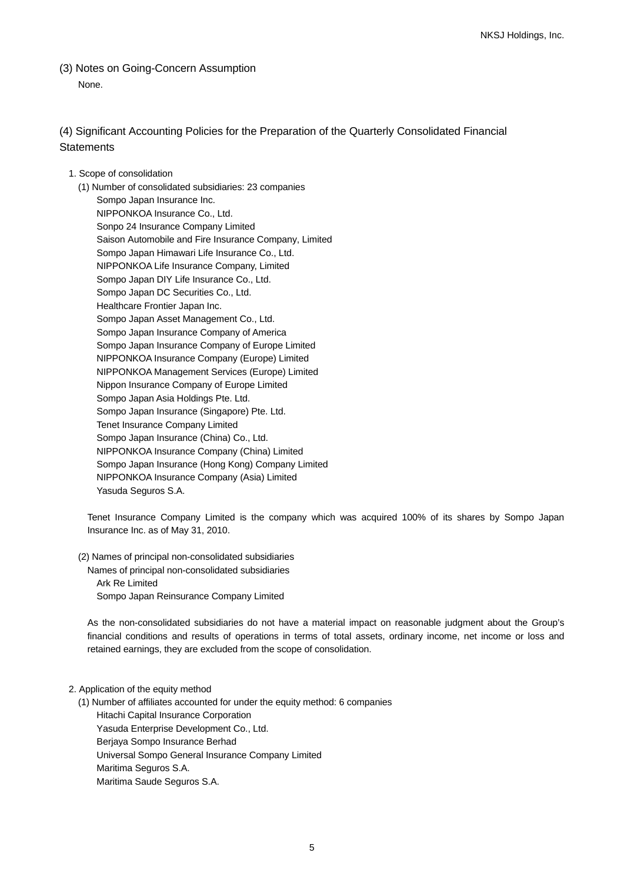(3) Notes on Going-Concern Assumption None.

## (4) Significant Accounting Policies for the Preparation of the Quarterly Consolidated Financial **Statements**

### 1. Scope of consolidation

(1) Number of consolidated subsidiaries: 23 companies Sompo Japan Insurance Inc. NIPPONKOA Insurance Co., Ltd. Sonpo 24 Insurance Company Limited Saison Automobile and Fire Insurance Company, Limited Sompo Japan Himawari Life Insurance Co., Ltd. NIPPONKOA Life Insurance Company, Limited Sompo Japan DIY Life Insurance Co., Ltd. Sompo Japan DC Securities Co., Ltd. Healthcare Frontier Japan Inc. Sompo Japan Asset Management Co., Ltd. Sompo Japan Insurance Company of America Sompo Japan Insurance Company of Europe Limited NIPPONKOA Insurance Company (Europe) Limited NIPPONKOA Management Services (Europe) Limited Nippon Insurance Company of Europe Limited Sompo Japan Asia Holdings Pte. Ltd. Sompo Japan Insurance (Singapore) Pte. Ltd. Tenet Insurance Company Limited Sompo Japan Insurance (China) Co., Ltd. NIPPONKOA Insurance Company (China) Limited Sompo Japan Insurance (Hong Kong) Company Limited NIPPONKOA Insurance Company (Asia) Limited Yasuda Seguros S.A.

Tenet Insurance Company Limited is the company which was acquired 100% of its shares by Sompo Japan Insurance Inc. as of May 31, 2010.

(2) Names of principal non-consolidated subsidiaries

Names of principal non-consolidated subsidiaries Ark Re Limited Sompo Japan Reinsurance Company Limited

As the non-consolidated subsidiaries do not have a material impact on reasonable judgment about the Group's financial conditions and results of operations in terms of total assets, ordinary income, net income or loss and retained earnings, they are excluded from the scope of consolidation.

#### 2. Application of the equity method

(1) Number of affiliates accounted for under the equity method: 6 companies

Hitachi Capital Insurance Corporation Yasuda Enterprise Development Co., Ltd. Berjaya Sompo Insurance Berhad Universal Sompo General Insurance Company Limited Maritima Seguros S.A. Maritima Saude Seguros S.A.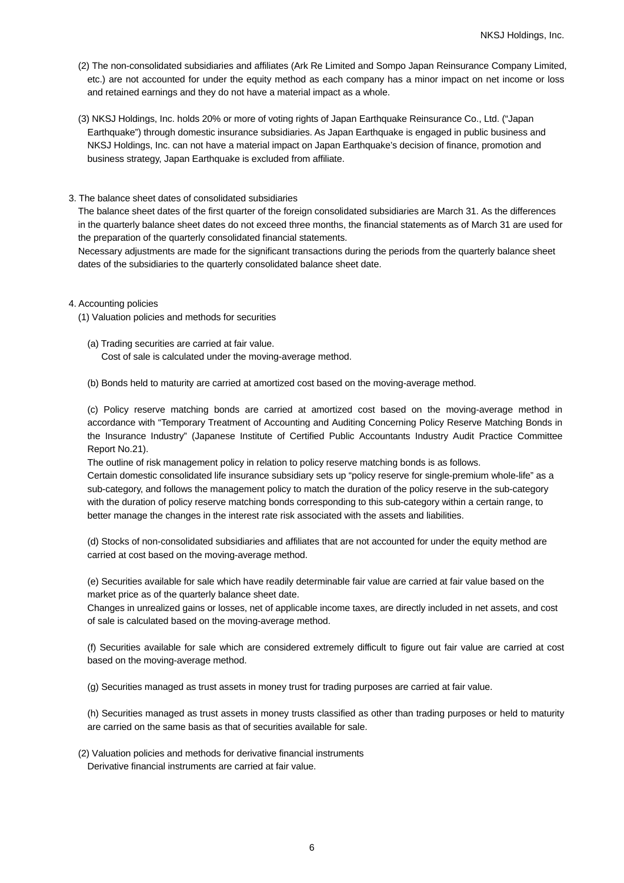- (2) The non-consolidated subsidiaries and affiliates (Ark Re Limited and Sompo Japan Reinsurance Company Limited, etc.) are not accounted for under the equity method as each company has a minor impact on net income or loss and retained earnings and they do not have a material impact as a whole.
- (3) NKSJ Holdings, Inc. holds 20% or more of voting rights of Japan Earthquake Reinsurance Co., Ltd. ("Japan Earthquake") through domestic insurance subsidiaries. As Japan Earthquake is engaged in public business and NKSJ Holdings, Inc. can not have a material impact on Japan Earthquake's decision of finance, promotion and business strategy, Japan Earthquake is excluded from affiliate.

#### 3. The balance sheet dates of consolidated subsidiaries

The balance sheet dates of the first quarter of the foreign consolidated subsidiaries are March 31. As the differences in the quarterly balance sheet dates do not exceed three months, the financial statements as of March 31 are used for the preparation of the quarterly consolidated financial statements.

Necessary adjustments are made for the significant transactions during the periods from the quarterly balance sheet dates of the subsidiaries to the quarterly consolidated balance sheet date.

4. Accounting policies

(1) Valuation policies and methods for securities

(a) Trading securities are carried at fair value. Cost of sale is calculated under the moving-average method.

(b) Bonds held to maturity are carried at amortized cost based on the moving-average method.

(c) Policy reserve matching bonds are carried at amortized cost based on the moving-average method in accordance with "Temporary Treatment of Accounting and Auditing Concerning Policy Reserve Matching Bonds in the Insurance Industry" (Japanese Institute of Certified Public Accountants Industry Audit Practice Committee Report No.21).

The outline of risk management policy in relation to policy reserve matching bonds is as follows.

Certain domestic consolidated life insurance subsidiary sets up "policy reserve for single-premium whole-life" as a sub-category, and follows the management policy to match the duration of the policy reserve in the sub-category with the duration of policy reserve matching bonds corresponding to this sub-category within a certain range, to better manage the changes in the interest rate risk associated with the assets and liabilities.

(d) Stocks of non-consolidated subsidiaries and affiliates that are not accounted for under the equity method are carried at cost based on the moving-average method.

(e) Securities available for sale which have readily determinable fair value are carried at fair value based on the market price as of the quarterly balance sheet date.

Changes in unrealized gains or losses, net of applicable income taxes, are directly included in net assets, and cost of sale is calculated based on the moving-average method.

(f) Securities available for sale which are considered extremely difficult to figure out fair value are carried at cost based on the moving-average method.

(g) Securities managed as trust assets in money trust for trading purposes are carried at fair value.

(h) Securities managed as trust assets in money trusts classified as other than trading purposes or held to maturity are carried on the same basis as that of securities available for sale.

(2) Valuation policies and methods for derivative financial instruments Derivative financial instruments are carried at fair value.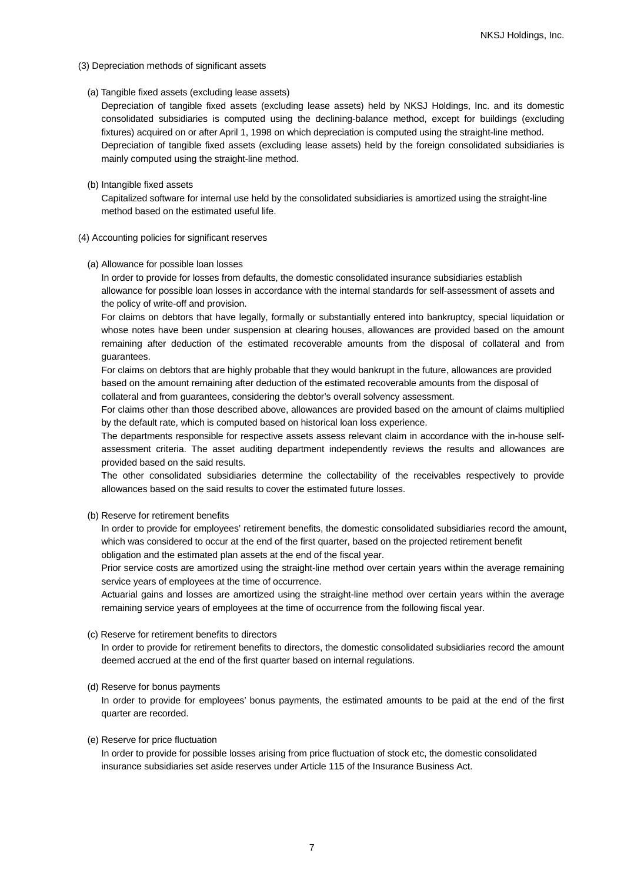- (3) Depreciation methods of significant assets
	- (a) Tangible fixed assets (excluding lease assets)

Depreciation of tangible fixed assets (excluding lease assets) held by NKSJ Holdings, Inc. and its domestic consolidated subsidiaries is computed using the declining-balance method, except for buildings (excluding fixtures) acquired on or after April 1, 1998 on which depreciation is computed using the straight-line method. Depreciation of tangible fixed assets (excluding lease assets) held by the foreign consolidated subsidiaries is mainly computed using the straight-line method.

(b) Intangible fixed assets

Capitalized software for internal use held by the consolidated subsidiaries is amortized using the straight-line method based on the estimated useful life.

- (4) Accounting policies for significant reserves
	- (a) Allowance for possible loan losses

In order to provide for losses from defaults, the domestic consolidated insurance subsidiaries establish allowance for possible loan losses in accordance with the internal standards for self-assessment of assets and the policy of write-off and provision.

For claims on debtors that have legally, formally or substantially entered into bankruptcy, special liquidation or whose notes have been under suspension at clearing houses, allowances are provided based on the amount remaining after deduction of the estimated recoverable amounts from the disposal of collateral and from guarantees.

For claims on debtors that are highly probable that they would bankrupt in the future, allowances are provided based on the amount remaining after deduction of the estimated recoverable amounts from the disposal of collateral and from guarantees, considering the debtor's overall solvency assessment.

For claims other than those described above, allowances are provided based on the amount of claims multiplied by the default rate, which is computed based on historical loan loss experience.

The departments responsible for respective assets assess relevant claim in accordance with the in-house selfassessment criteria. The asset auditing department independently reviews the results and allowances are provided based on the said results.

The other consolidated subsidiaries determine the collectability of the receivables respectively to provide allowances based on the said results to cover the estimated future losses.

#### (b) Reserve for retirement benefits

In order to provide for employees' retirement benefits, the domestic consolidated subsidiaries record the amount, which was considered to occur at the end of the first quarter, based on the projected retirement benefit

obligation and the estimated plan assets at the end of the fiscal year.

Prior service costs are amortized using the straight-line method over certain years within the average remaining service years of employees at the time of occurrence.

Actuarial gains and losses are amortized using the straight-line method over certain years within the average remaining service years of employees at the time of occurrence from the following fiscal year.

#### (c) Reserve for retirement benefits to directors

In order to provide for retirement benefits to directors, the domestic consolidated subsidiaries record the amount deemed accrued at the end of the first quarter based on internal regulations.

#### (d) Reserve for bonus payments

In order to provide for employees' bonus payments, the estimated amounts to be paid at the end of the first quarter are recorded.

#### (e) Reserve for price fluctuation

In order to provide for possible losses arising from price fluctuation of stock etc, the domestic consolidated insurance subsidiaries set aside reserves under Article 115 of the Insurance Business Act.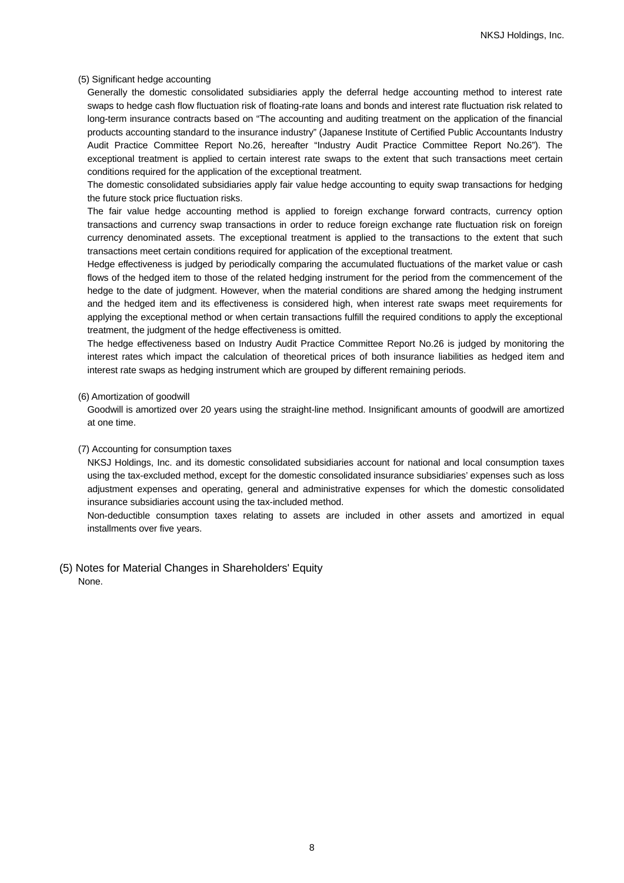#### (5) Significant hedge accounting

Generally the domestic consolidated subsidiaries apply the deferral hedge accounting method to interest rate swaps to hedge cash flow fluctuation risk of floating-rate loans and bonds and interest rate fluctuation risk related to long-term insurance contracts based on "The accounting and auditing treatment on the application of the financial products accounting standard to the insurance industry" (Japanese Institute of Certified Public Accountants Industry Audit Practice Committee Report No.26, hereafter "Industry Audit Practice Committee Report No.26"). The exceptional treatment is applied to certain interest rate swaps to the extent that such transactions meet certain conditions required for the application of the exceptional treatment.

The domestic consolidated subsidiaries apply fair value hedge accounting to equity swap transactions for hedging the future stock price fluctuation risks.

The fair value hedge accounting method is applied to foreign exchange forward contracts, currency option transactions and currency swap transactions in order to reduce foreign exchange rate fluctuation risk on foreign currency denominated assets. The exceptional treatment is applied to the transactions to the extent that such transactions meet certain conditions required for application of the exceptional treatment.

Hedge effectiveness is judged by periodically comparing the accumulated fluctuations of the market value or cash flows of the hedged item to those of the related hedging instrument for the period from the commencement of the hedge to the date of judgment. However, when the material conditions are shared among the hedging instrument and the hedged item and its effectiveness is considered high, when interest rate swaps meet requirements for applying the exceptional method or when certain transactions fulfill the required conditions to apply the exceptional treatment, the judgment of the hedge effectiveness is omitted.

The hedge effectiveness based on Industry Audit Practice Committee Report No.26 is judged by monitoring the interest rates which impact the calculation of theoretical prices of both insurance liabilities as hedged item and interest rate swaps as hedging instrument which are grouped by different remaining periods.

#### (6) Amortization of goodwill

Goodwill is amortized over 20 years using the straight-line method. Insignificant amounts of goodwill are amortized at one time.

#### (7) Accounting for consumption taxes

NKSJ Holdings, Inc. and its domestic consolidated subsidiaries account for national and local consumption taxes using the tax-excluded method, except for the domestic consolidated insurance subsidiaries' expenses such as loss adjustment expenses and operating, general and administrative expenses for which the domestic consolidated insurance subsidiaries account using the tax-included method.

Non-deductible consumption taxes relating to assets are included in other assets and amortized in equal installments over five years.

### (5) Notes for Material Changes in Shareholders' Equity None.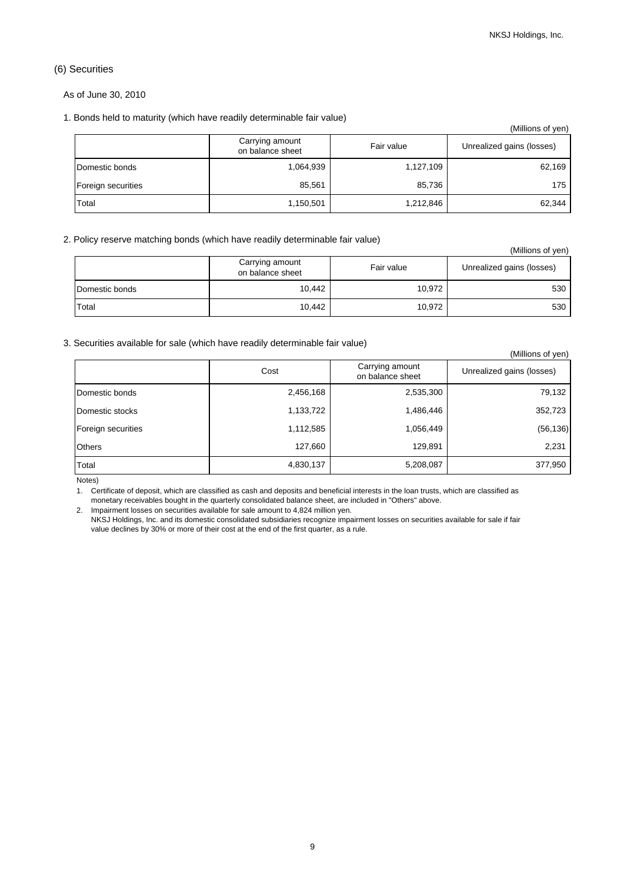## (6) Securities

#### As of June 30, 2010

#### 1. Bonds held to maturity (which have readily determinable fair value)

|                    |                                     |            | (Millions of yen)         |
|--------------------|-------------------------------------|------------|---------------------------|
|                    | Carrying amount<br>on balance sheet | Fair value | Unrealized gains (losses) |
| Domestic bonds     | 1,064,939                           | 1,127,109  | 62,169                    |
| Foreign securities | 85.561                              | 85,736     | 175                       |
| Total              | 1,150,501                           | 1,212,846  | 62,344                    |

### 2. Policy reserve matching bonds (which have readily determinable fair value)

|                |                                     |            | (Millions of yen)         |
|----------------|-------------------------------------|------------|---------------------------|
|                | Carrying amount<br>on balance sheet | Fair value | Unrealized gains (losses) |
| Domestic bonds | 10,442                              | 10,972     | 530                       |
| Total          | 10,442                              | 10,972     | 530                       |

### 3. Securities available for sale (which have readily determinable fair value)

|                    |           |                                     | (Millions of yen)         |
|--------------------|-----------|-------------------------------------|---------------------------|
|                    | Cost      | Carrying amount<br>on balance sheet | Unrealized gains (losses) |
| Domestic bonds     | 2,456,168 | 2,535,300                           | 79,132                    |
| Domestic stocks    | 1,133,722 | 1,486,446                           | 352,723                   |
| Foreign securities | 1,112,585 | 1,056,449                           | (56, 136)                 |
| <b>Others</b>      | 127,660   | 129,891                             | 2,231                     |
| Total              | 4,830,137 | 5,208,087                           | 377,950                   |

Notes)

1. Certificate of deposit, which are classified as cash and deposits and beneficial interests in the loan trusts, which are classified as monetary receivables bought in the quarterly consolidated balance sheet, are included in "Others" above.

2. Impairment losses on securities available for sale amount to 4,824 million yen.

NKSJ Holdings, Inc. and its domestic consolidated subsidiaries recognize impairment losses on securities available for sale if fair value declines by 30% or more of their cost at the end of the first quarter, as a rule.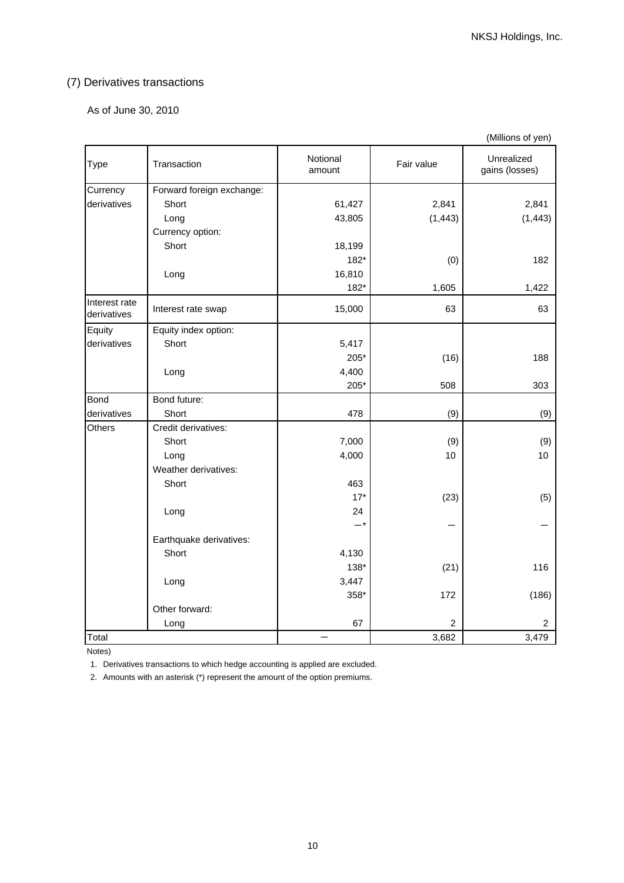# (7) Derivatives transactions

As of June 30, 2010

|                              |                           |                    |                | (Millions of yen)            |
|------------------------------|---------------------------|--------------------|----------------|------------------------------|
| Type                         | Transaction               | Notional<br>amount | Fair value     | Unrealized<br>gains (losses) |
| Currency                     | Forward foreign exchange: |                    |                |                              |
| derivatives                  | Short                     | 61,427             | 2,841          | 2,841                        |
|                              | Long                      | 43,805             | (1, 443)       | (1, 443)                     |
|                              | Currency option:          |                    |                |                              |
|                              | Short                     | 18,199             |                |                              |
|                              |                           | 182*               | (0)            | 182                          |
|                              | Long                      | 16,810             |                |                              |
|                              |                           | 182*               | 1,605          | 1,422                        |
| Interest rate<br>derivatives | Interest rate swap        | 15,000             | 63             | 63                           |
| Equity                       | Equity index option:      |                    |                |                              |
| derivatives                  | Short                     | 5,417              |                |                              |
|                              |                           | 205*               | (16)           | 188                          |
|                              | Long                      | 4,400              |                |                              |
|                              |                           | 205*               | 508            | 303                          |
| <b>Bond</b>                  | Bond future:              |                    |                |                              |
| derivatives                  | Short                     | 478                | (9)            | (9)                          |
| Others                       | Credit derivatives:       |                    |                |                              |
|                              | Short                     | 7,000              | (9)            | (9)                          |
|                              | Long                      | 4,000              | 10             | 10                           |
|                              | Weather derivatives:      |                    |                |                              |
|                              | Short                     | 463                |                |                              |
|                              |                           | $17*$              | (23)           | (5)                          |
|                              | Long                      | 24                 |                |                              |
|                              |                           | $-*$               |                |                              |
|                              | Earthquake derivatives:   |                    |                |                              |
|                              | Short                     | 4,130              |                |                              |
|                              |                           | 138*               | (21)           | 116                          |
|                              | Long                      | 3,447              |                |                              |
|                              |                           | 358*               | 172            | (186)                        |
|                              | Other forward:            |                    |                |                              |
|                              | Long                      | 67                 | $\overline{2}$ | 2                            |
| Total                        |                           |                    | 3,682          | 3,479                        |

Notes)

1. Derivatives transactions to which hedge accounting is applied are excluded.

2. Amounts with an asterisk (\*) represent the amount of the option premiums.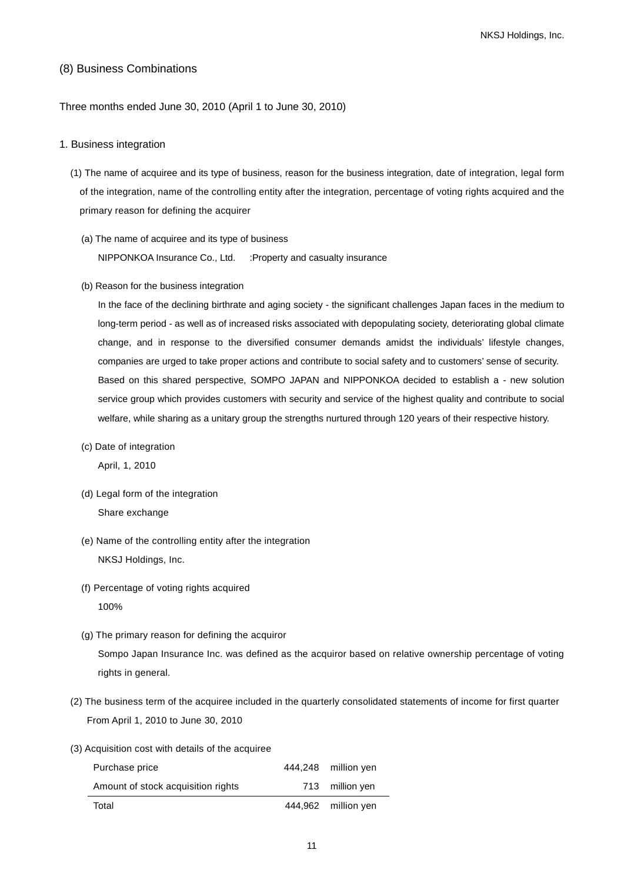## (8) Business Combinations

Three months ended June 30, 2010 (April 1 to June 30, 2010)

### 1. Business integration

- (1) The name of acquiree and its type of business, reason for the business integration, date of integration, legal form of the integration, name of the controlling entity after the integration, percentage of voting rights acquired and the primary reason for defining the acquirer
	- (a) The name of acquiree and its type of business NIPPONKOA Insurance Co., Ltd. :Property and casualty insurance
	- (b) Reason for the business integration

In the face of the declining birthrate and aging society - the significant challenges Japan faces in the medium to long-term period - as well as of increased risks associated with depopulating society, deteriorating global climate change, and in response to the diversified consumer demands amidst the individuals' lifestyle changes, companies are urged to take proper actions and contribute to social safety and to customers' sense of security. Based on this shared perspective, SOMPO JAPAN and NIPPONKOA decided to establish a - new solution service group which provides customers with security and service of the highest quality and contribute to social welfare, while sharing as a unitary group the strengths nurtured through 120 years of their respective history.

(c) Date of integration

April, 1, 2010

- (d) Legal form of the integration Share exchange
- (e) Name of the controlling entity after the integration NKSJ Holdings, Inc.
- (f) Percentage of voting rights acquired 100%
- (g) The primary reason for defining the acquiror Sompo Japan Insurance Inc. was defined as the acquiror based on relative ownership percentage of voting rights in general.
- (2) The business term of the acquiree included in the quarterly consolidated statements of income for first quarter From April 1, 2010 to June 30, 2010
- (3) Acquisition cost with details of the acquiree

| Purchase price                     | 444,248 million yen |
|------------------------------------|---------------------|
| Amount of stock acquisition rights | 713 million yen     |
| Total                              | 444,962 million yen |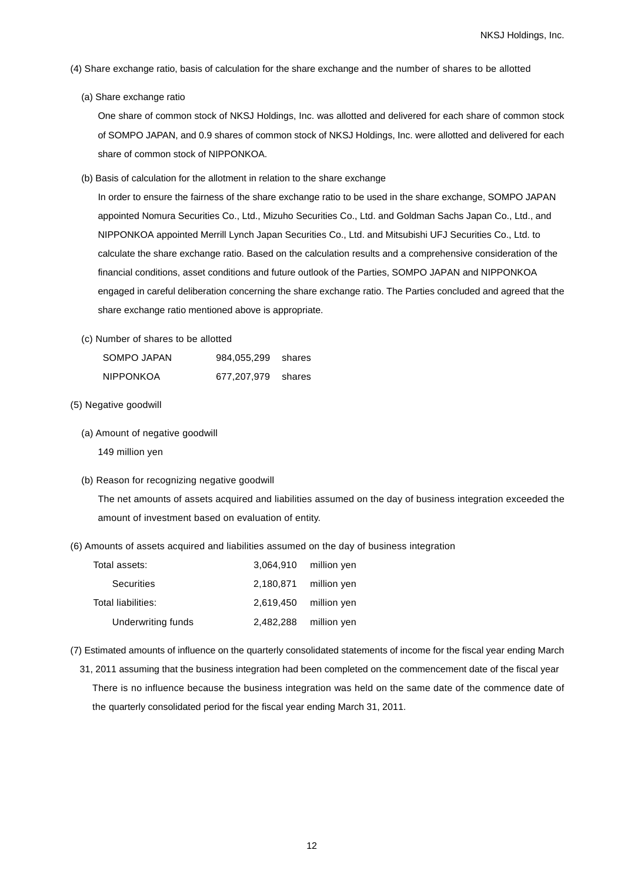- (4) Share exchange ratio, basis of calculation for the share exchange and the number of shares to be allotted
	- (a) Share exchange ratio

One share of common stock of NKSJ Holdings, Inc. was allotted and delivered for each share of common stock of SOMPO JAPAN, and 0.9 shares of common stock of NKSJ Holdings, Inc. were allotted and delivered for each share of common stock of NIPPONKOA.

(b) Basis of calculation for the allotment in relation to the share exchange

In order to ensure the fairness of the share exchange ratio to be used in the share exchange, SOMPO JAPAN appointed Nomura Securities Co., Ltd., Mizuho Securities Co., Ltd. and Goldman Sachs Japan Co., Ltd., and NIPPONKOA appointed Merrill Lynch Japan Securities Co., Ltd. and Mitsubishi UFJ Securities Co., Ltd. to calculate the share exchange ratio. Based on the calculation results and a comprehensive consideration of the financial conditions, asset conditions and future outlook of the Parties, SOMPO JAPAN and NIPPONKOA engaged in careful deliberation concerning the share exchange ratio. The Parties concluded and agreed that the share exchange ratio mentioned above is appropriate.

(c) Number of shares to be allotted

| SOMPO JAPAN      | 984,055,299 | shares |
|------------------|-------------|--------|
| <b>NIPPONKOA</b> | 677,207,979 | shares |

- (5) Negative goodwill
	- (a) Amount of negative goodwill
		- 149 million yen
	- (b) Reason for recognizing negative goodwill

The net amounts of assets acquired and liabilities assumed on the day of business integration exceeded the amount of investment based on evaluation of entity.

(6) Amounts of assets acquired and liabilities assumed on the day of business integration

| Total assets:      | 3,064,910 million yen   |
|--------------------|-------------------------|
| Securities         | $2,180,871$ million yen |
| Total liabilities: | $2,619,450$ million yen |
| Underwriting funds | $2,482,288$ million yen |

- (7) Estimated amounts of influence on the quarterly consolidated statements of income for the fiscal year ending March
	- 31, 2011 assuming that the business integration had been completed on the commencement date of the fiscal year There is no influence because the business integration was held on the same date of the commence date of the quarterly consolidated period for the fiscal year ending March 31, 2011.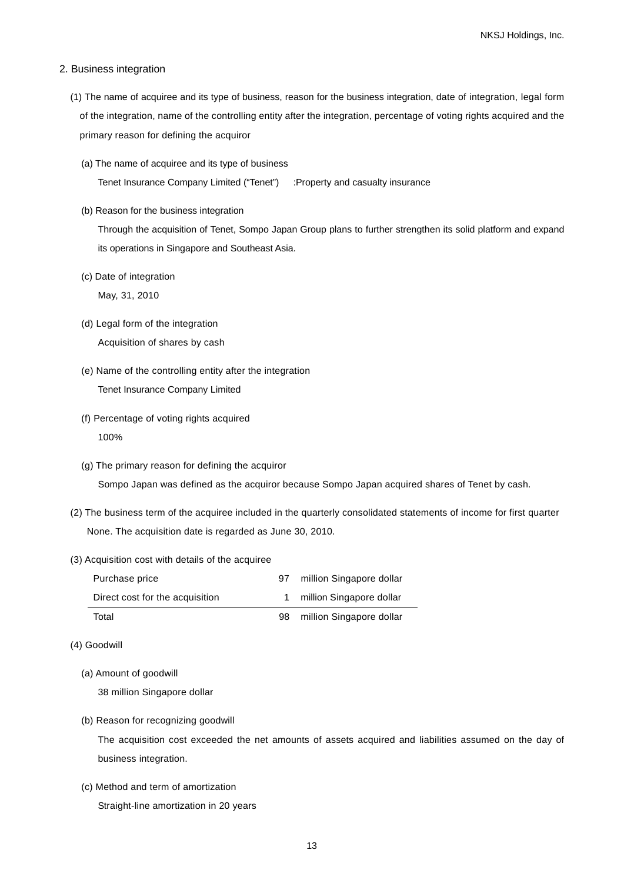#### 2. Business integration

- (1) The name of acquiree and its type of business, reason for the business integration, date of integration, legal form of the integration, name of the controlling entity after the integration, percentage of voting rights acquired and the primary reason for defining the acquiror
	- (a) The name of acquiree and its type of business Tenet Insurance Company Limited ("Tenet") :Property and casualty insurance
	- (b) Reason for the business integration

Through the acquisition of Tenet, Sompo Japan Group plans to further strengthen its solid platform and expand its operations in Singapore and Southeast Asia.

(c) Date of integration

May, 31, 2010

- (d) Legal form of the integration Acquisition of shares by cash
- (e) Name of the controlling entity after the integration Tenet Insurance Company Limited
- (f) Percentage of voting rights acquired 100%
- (g) The primary reason for defining the acquiror Sompo Japan was defined as the acquiror because Sompo Japan acquired shares of Tenet by cash.
- (2) The business term of the acquiree included in the quarterly consolidated statements of income for first quarter None. The acquisition date is regarded as June 30, 2010.
- (3) Acquisition cost with details of the acquiree

| Purchase price                  | .97 | million Singapore dollar |
|---------------------------------|-----|--------------------------|
| Direct cost for the acquisition |     | million Singapore dollar |
| Total                           | 98  | million Singapore dollar |

- (4) Goodwill
	- (a) Amount of goodwill

38 million Singapore dollar

(b) Reason for recognizing goodwill

The acquisition cost exceeded the net amounts of assets acquired and liabilities assumed on the day of business integration.

(c) Method and term of amortization

Straight-line amortization in 20 years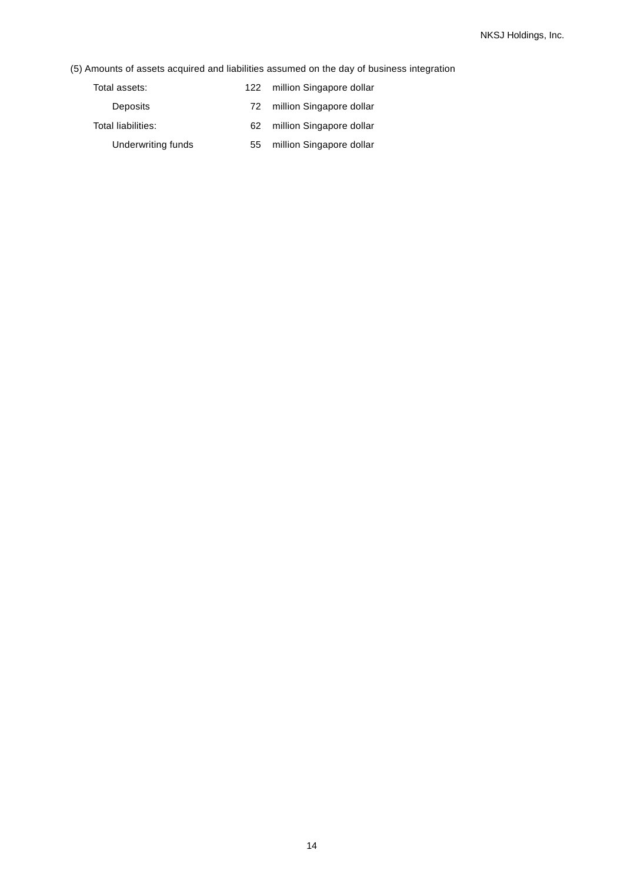(5) Amounts of assets acquired and liabilities assumed on the day of business integration

| Total assets:      | 122 | million Singapore dollar |
|--------------------|-----|--------------------------|
| Deposits           | 72  | million Singapore dollar |
| Total liabilities: | 62  | million Singapore dollar |
| Underwriting funds | 55  | million Singapore dollar |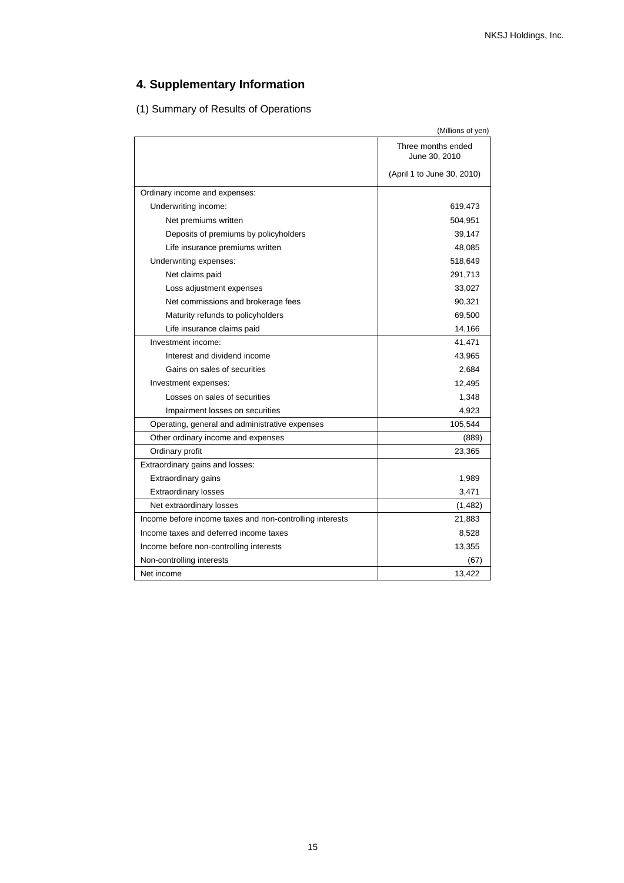# **4. Supplementary Information**

(1) Summary of Results of Operations

|                                                          | (Millions of yen)                   |
|----------------------------------------------------------|-------------------------------------|
|                                                          | Three months ended<br>June 30, 2010 |
|                                                          | (April 1 to June 30, 2010)          |
| Ordinary income and expenses:                            |                                     |
| Underwriting income:                                     | 619,473                             |
| Net premiums written                                     | 504,951                             |
| Deposits of premiums by policyholders                    | 39,147                              |
| Life insurance premiums written                          | 48,085                              |
| Underwriting expenses:                                   | 518,649                             |
| Net claims paid                                          | 291,713                             |
| Loss adjustment expenses                                 | 33,027                              |
| Net commissions and brokerage fees                       | 90,321                              |
| Maturity refunds to policyholders                        | 69,500                              |
| Life insurance claims paid                               | 14,166                              |
| Investment income:                                       | 41,471                              |
| Interest and dividend income                             | 43,965                              |
| Gains on sales of securities                             | 2,684                               |
| Investment expenses:                                     | 12,495                              |
| Losses on sales of securities                            | 1,348                               |
| Impairment losses on securities                          | 4,923                               |
| Operating, general and administrative expenses           | 105,544                             |
| Other ordinary income and expenses                       | (889)                               |
| Ordinary profit                                          | 23,365                              |
| Extraordinary gains and losses:                          |                                     |
| Extraordinary gains                                      | 1,989                               |
| <b>Extraordinary losses</b>                              | 3,471                               |
| Net extraordinary losses                                 | (1,482)                             |
| Income before income taxes and non-controlling interests | 21,883                              |
| Income taxes and deferred income taxes                   | 8,528                               |
| Income before non-controlling interests                  | 13,355                              |
| Non-controlling interests                                | (67)                                |
| Net income                                               | 13,422                              |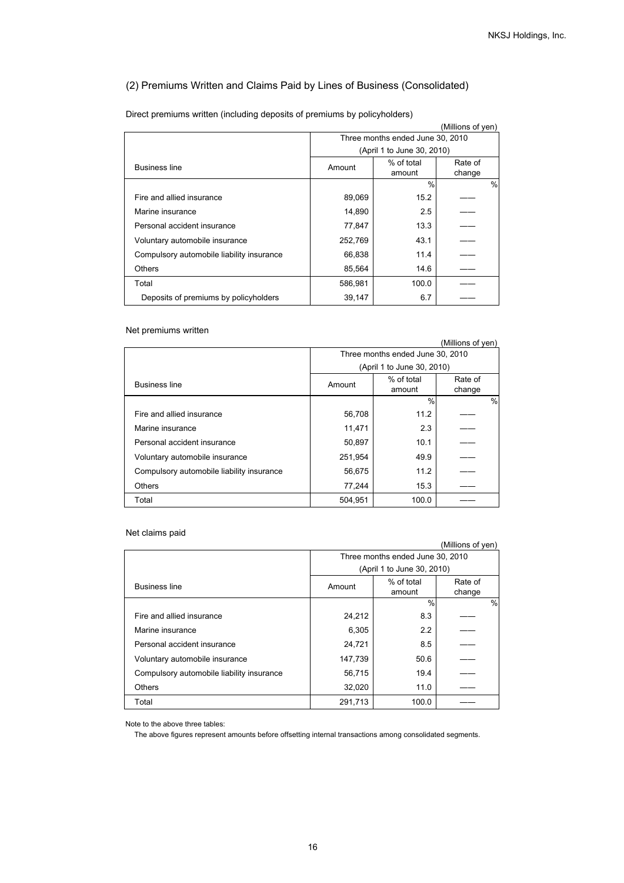## (2) Premiums Written and Claims Paid by Lines of Business (Consolidated)

| (Millions of yen)                         |                                  |                            |               |
|-------------------------------------------|----------------------------------|----------------------------|---------------|
|                                           | Three months ended June 30, 2010 |                            |               |
|                                           |                                  | (April 1 to June 30, 2010) |               |
| <b>Business line</b>                      | Amount                           | % of total                 | Rate of       |
|                                           |                                  | amount                     | change        |
|                                           |                                  | %                          | $\frac{0}{0}$ |
| Fire and allied insurance                 | 89,069                           | 15.2                       |               |
| Marine insurance                          | 14,890                           | 2.5                        |               |
| Personal accident insurance               | 77,847                           | 13.3                       |               |
| Voluntary automobile insurance            | 252,769                          | 43.1                       |               |
| Compulsory automobile liability insurance | 66,838                           | 11.4                       |               |
| Others                                    | 85,564                           | 14.6                       |               |
| Total                                     | 586,981                          | 100.0                      |               |
| Deposits of premiums by policyholders     | 39,147                           | 6.7                        |               |

Direct premiums written (including deposits of premiums by policyholders)

### Net premiums written

|                                           |         |                                  | (Millions of yen) |               |
|-------------------------------------------|---------|----------------------------------|-------------------|---------------|
|                                           |         | Three months ended June 30, 2010 |                   |               |
|                                           |         | (April 1 to June 30, 2010)       |                   |               |
| <b>Business line</b>                      | Amount  | % of total<br>amount             | Rate of<br>change |               |
|                                           |         | $\frac{0}{0}$                    |                   | $\frac{0}{0}$ |
| Fire and allied insurance                 | 56,708  | 11.2                             |                   |               |
| Marine insurance                          | 11,471  | 2.3                              |                   |               |
| Personal accident insurance               | 50,897  | 10.1                             |                   |               |
| Voluntary automobile insurance            | 251,954 | 49.9                             |                   |               |
| Compulsory automobile liability insurance | 56,675  | 11.2                             |                   |               |
| <b>Others</b>                             | 77,244  | 15.3                             |                   |               |
| Total                                     | 504,951 | 100.0                            |                   |               |

### Net claims paid

|                                           |                                  |                            | (Millions of yen) |               |
|-------------------------------------------|----------------------------------|----------------------------|-------------------|---------------|
|                                           | Three months ended June 30, 2010 |                            |                   |               |
|                                           |                                  | (April 1 to June 30, 2010) |                   |               |
| <b>Business line</b>                      | Amount                           | % of total<br>amount       | Rate of<br>change |               |
|                                           |                                  | $\frac{0}{0}$              |                   | $\frac{0}{0}$ |
| Fire and allied insurance                 | 24,212                           | 8.3                        |                   |               |
| Marine insurance                          | 6,305                            | 2.2                        |                   |               |
| Personal accident insurance               | 24,721                           | 8.5                        |                   |               |
| Voluntary automobile insurance            | 147,739                          | 50.6                       |                   |               |
| Compulsory automobile liability insurance | 56,715                           | 19.4                       |                   |               |
| <b>Others</b>                             | 32,020                           | 11.0                       |                   |               |
| Total                                     | 291.713                          | 100.0                      |                   |               |

Note to the above three tables:

The above figures represent amounts before offsetting internal transactions among consolidated segments.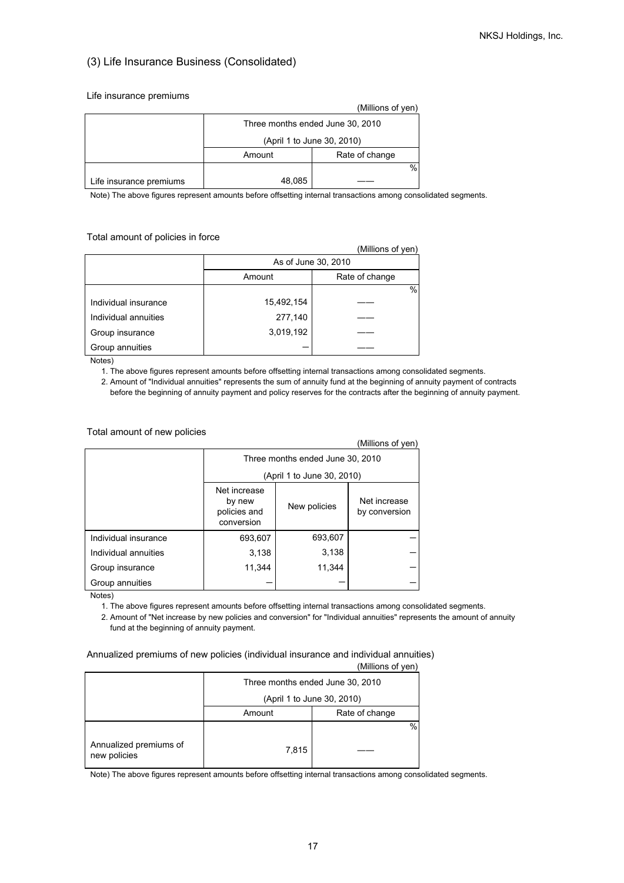## (3) Life Insurance Business (Consolidated)

#### Life insurance premiums

|                         |                                  | (Millions of yen) |  |
|-------------------------|----------------------------------|-------------------|--|
|                         | Three months ended June 30, 2010 |                   |  |
|                         | (April 1 to June 30, 2010)       |                   |  |
|                         | Rate of change<br>Amount         |                   |  |
|                         |                                  | %                 |  |
| Life insurance premiums | 48,085                           |                   |  |

Note) The above figures represent amounts before offsetting internal transactions among consolidated segments.

#### Total amount of policies in force

| (IVIIIIIONS OF YEN)  |                     |                |  |
|----------------------|---------------------|----------------|--|
|                      | As of June 30, 2010 |                |  |
|                      | Amount              | Rate of change |  |
|                      |                     | %              |  |
| Individual insurance | 15,492,154          |                |  |
| Individual annuities | 277,140             |                |  |
| Group insurance      | 3,019,192           |                |  |
| Group annuities      |                     |                |  |

Notes)

1. The above figures represent amounts before offsetting internal transactions among consolidated segments.

 2. Amount of "Individual annuities" represents the sum of annuity fund at the beginning of annuity payment of contracts before the beginning of annuity payment and policy reserves for the contracts after the beginning of annuity payment.

#### Total amount of new policies

|                      |                                                      |              | (Millions of yen)             |
|----------------------|------------------------------------------------------|--------------|-------------------------------|
|                      | Three months ended June 30, 2010                     |              |                               |
|                      | (April 1 to June 30, 2010)                           |              |                               |
|                      | Net increase<br>by new<br>policies and<br>conversion | New policies | Net increase<br>by conversion |
| Individual insurance | 693,607                                              | 693,607      |                               |
| Individual annuities | 3,138                                                | 3,138        |                               |
| Group insurance      | 11,344                                               | 11,344       |                               |
| Group annuities      |                                                      |              |                               |

Notes)

1. The above figures represent amounts before offsetting internal transactions among consolidated segments.

 2. Amount of "Net increase by new policies and conversion" for "Individual annuities" represents the amount of annuity fund at the beginning of annuity payment.

### Annualized premiums of new policies (individual insurance and individual annuities)

|                                        |                                  | וייט שווטוויייי |  |
|----------------------------------------|----------------------------------|-----------------|--|
|                                        | Three months ended June 30, 2010 |                 |  |
|                                        | (April 1 to June 30, 2010)       |                 |  |
|                                        | Amount                           | Rate of change  |  |
| Annualized premiums of<br>new policies | 7,815                            | $\%$            |  |

(Millions of yen)

 $\lambda$  and  $\lambda$  yens of  $\lambda$ 

Note) The above figures represent amounts before offsetting internal transactions among consolidated segments.